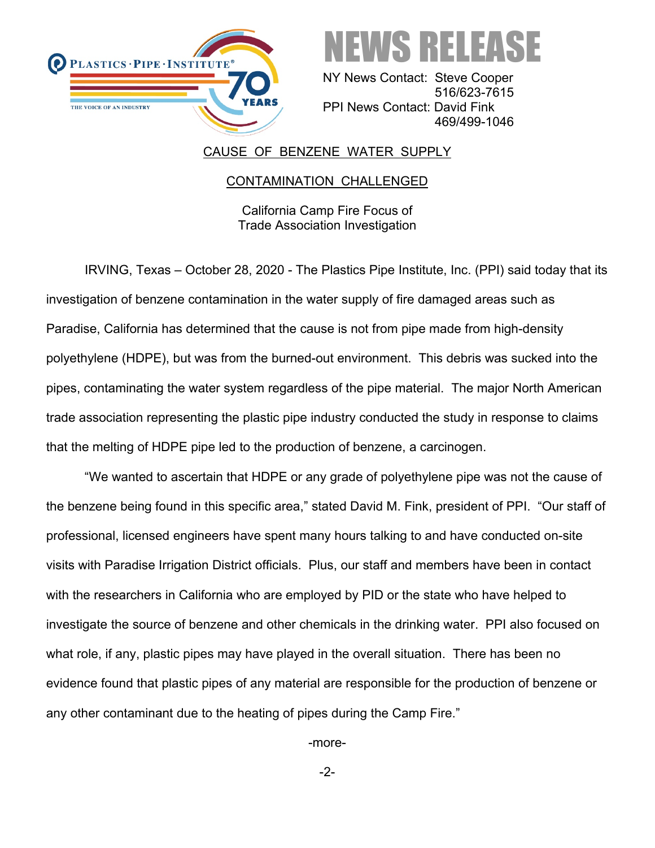



 NY News Contact: Steve Cooper 516/623-7615 PPI News Contact: David Fink 469/499-1046

## CAUSE OF BENZENE WATER SUPPLY

## CONTAMINATION CHALLENGED

California Camp Fire Focus of Trade Association Investigation

IRVING, Texas – October 28, 2020 - The Plastics Pipe Institute, Inc. (PPI) said today that its investigation of benzene contamination in the water supply of fire damaged areas such as Paradise, California has determined that the cause is not from pipe made from high-density polyethylene (HDPE), but was from the burned-out environment. This debris was sucked into the pipes, contaminating the water system regardless of the pipe material. The major North American trade association representing the plastic pipe industry conducted the study in response to claims that the melting of HDPE pipe led to the production of benzene, a carcinogen.

"We wanted to ascertain that HDPE or any grade of polyethylene pipe was not the cause of the benzene being found in this specific area," stated David M. Fink, president of PPI. "Our staff of professional, licensed engineers have spent many hours talking to and have conducted on-site visits with Paradise Irrigation District officials. Plus, our staff and members have been in contact with the researchers in California who are employed by PID or the state who have helped to investigate the source of benzene and other chemicals in the drinking water. PPI also focused on what role, if any, plastic pipes may have played in the overall situation. There has been no evidence found that plastic pipes of any material are responsible for the production of benzene or any other contaminant due to the heating of pipes during the Camp Fire."

-more-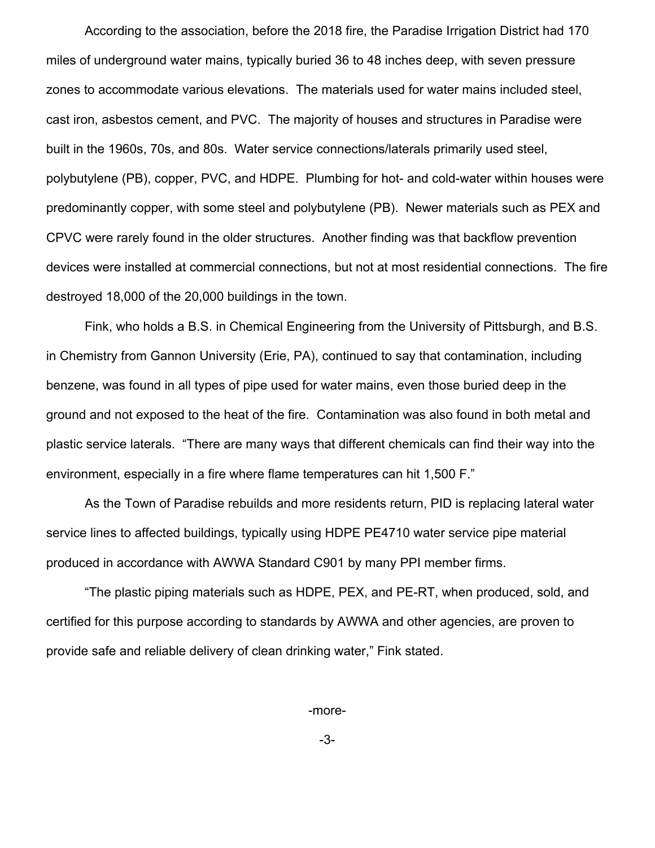According to the association, before the 2018 fire, the Paradise Irrigation District had 170 miles of underground water mains, typically buried 36 to 48 inches deep, with seven pressure zones to accommodate various elevations. The materials used for water mains included steel, cast iron, asbestos cement, and PVC. The majority of houses and structures in Paradise were built in the 1960s, 70s, and 80s. Water service connections/laterals primarily used steel, polybutylene (PB), copper, PVC, and HDPE. Plumbing for hot- and cold-water within houses were predominantly copper, with some steel and polybutylene (PB). Newer materials such as PEX and CPVC were rarely found in the older structures. Another finding was that backflow prevention devices were installed at commercial connections, but not at most residential connections. The fire destroyed 18,000 of the 20,000 buildings in the town.

Fink, who holds a B.S. in Chemical Engineering from the University of Pittsburgh, and B.S. in Chemistry from Gannon University (Erie, PA), continued to say that contamination, including benzene, was found in all types of pipe used for water mains, even those buried deep in the ground and not exposed to the heat of the fire. Contamination was also found in both metal and plastic service laterals. "There are many ways that different chemicals can find their way into the environment, especially in a fire where flame temperatures can hit 1,500 F."

As the Town of Paradise rebuilds and more residents return, PID is replacing lateral water service lines to affected buildings, typically using HDPE PE4710 water service pipe material produced in accordance with AWWA Standard C901 by many PPI member firms.

"The plastic piping materials such as HDPE, PEX, and PE-RT, when produced, sold, and certified for this purpose according to standards by AWWA and other agencies, are proven to provide safe and reliable delivery of clean drinking water," Fink stated.

-more-

-3-